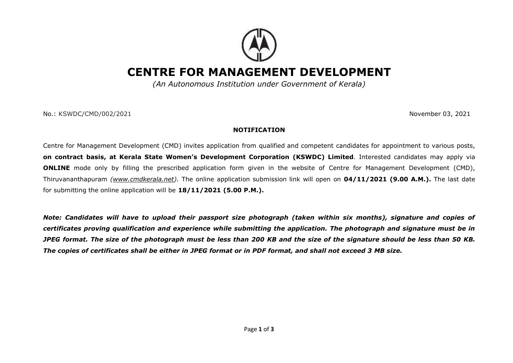

# **CENTRE FOR MANAGEMENT DEVELOPMENT**

*(An Autonomous Institution under Government of Kerala)*

No.: KSWDC/CMD/002/2021November 03, 2021

#### **NOTIFICATION**

Centre for Management Development (CMD) invites application from qualified and competent candidates for appointment to various posts, **on contract basis, at Kerala State Women's Development Corporation (KSWDC) Limited**. Interested candidates may apply via **ONLINE** mode only by filling the prescribed application form given in the website of Centre for Management Development (CMD), Thiruvananthapuram *[\(www.cmdkerala.net\)](http://www.cmdkerala.net/).* The online application submission link will open on **04/11/2021 (9.00 A.M.).** The last date for submitting the online application will be **18/11/2021 (5.00 P.M.).** 

*Note: Candidates will have to upload their passport size photograph (taken within six months), signature and copies of certificates proving qualification and experience while submitting the application. The photograph and signature must be in JPEG format. The size of the photograph must be less than 200 KB and the size of the signature should be less than 50 KB. The copies of certificates shall be either in JPEG format or in PDF format, and shall not exceed 3 MB size.*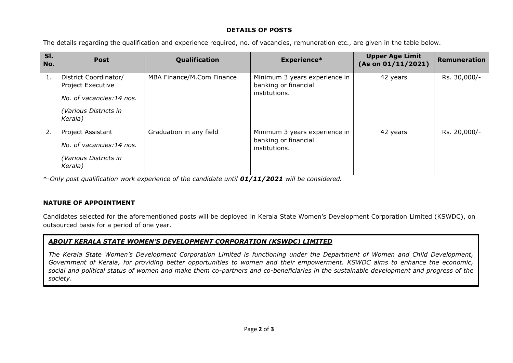### **DETAILS OF POSTS**

The details regarding the qualification and experience required, no. of vacancies, remuneration etc., are given in the table below.

| SI.<br>No. | <b>Post</b>                                                                                                | Qualification             | <b>Experience*</b>                                                     | <b>Upper Age Limit</b><br>(As on 01/11/2021) | <b>Remuneration</b> |
|------------|------------------------------------------------------------------------------------------------------------|---------------------------|------------------------------------------------------------------------|----------------------------------------------|---------------------|
| 1.         | District Coordinator/<br>Project Executive<br>No. of vacancies:14 nos.<br>(Various Districts in<br>Kerala) | MBA Finance/M.Com Finance | Minimum 3 years experience in<br>banking or financial<br>institutions. | 42 years                                     | Rs. 30,000/-        |
| 2.         | Project Assistant<br>No. of vacancies:14 nos.<br>(Various Districts in<br>Kerala)                          | Graduation in any field   | Minimum 3 years experience in<br>banking or financial<br>institutions. | 42 years                                     | Rs. 20,000/-        |

\*-*Only post qualification work experience of the candidate until 01/11/2021 will be considered.* 

# **NATURE OF APPOINTMENT**

Candidates selected for the aforementioned posts will be deployed in Kerala State Women's Development Corporation Limited (KSWDC), on outsourced basis for a period of one year.

# *ABOUT KERALA STATE WOMEN'S DEVELOPMENT CORPORATION (KSWDC) LIMITED*

*The Kerala State Women's Development Corporation Limited is functioning under the Department of Women and Child Development, Government of Kerala, for providing better opportunities to women and their empowerment. KSWDC aims to enhance the economic, social and political status of women and make them co-partners and co-beneficiaries in the sustainable development and progress of the society*.